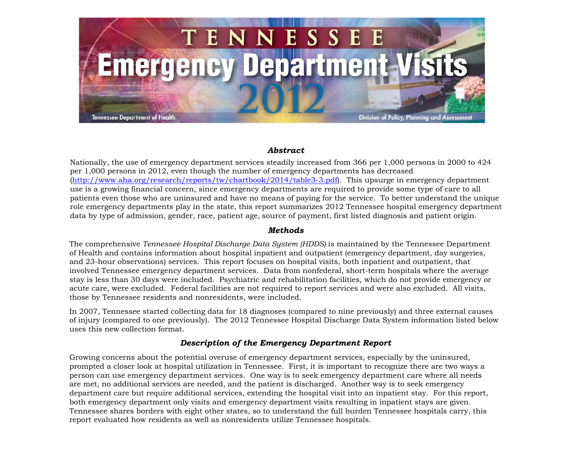

## *Abstract*

Nationally, the use of emergency department services steadily increased from 366 per 1,000 persons in 2000 to 424 per 1,000 persons in 2012, even though the number of emergency departments has decreased (http://www.aha.org/research/reports/tw/chartbook/2014/table3-3.pdf). This upsurge in emergency department use is a growing financial [concern, since emergency](http://www.aha.org/research/reports/tw/chartbook/2014/table3-3.pdf) departments are required to provide some type of care to all patients even those who are uninsured and have no means of paying for the service. To better understand the unique role emergency departments play in the state, this report summarizes 2012 Tennessee hospital emergency department data by type of admission, gender, race, patient age, source of payment, first listed diagnosis and patient origin.

## *Methods*

The comprehensive *Tennessee Hospital Discharge Data System (HDDS)* is maintained by the Tennessee Department of Health and contains information about hospital inpatient and outpatient (emergency department, day surgeries, and 23-hour observations) services. This report focuses on hospital visits, both inpatient and outpatient, that involved Tennessee emergency department services. Data from nonfederal, short-term hospitals where the average stay is less than 30 days were included. Psychiatric and rehabilitation facilities, which do not provide emergency or acute care, were excluded. Federal facilities are not required to report services and were also excluded. All visits, those by Tennessee residents and nonresidents, were included.

In 2007, Tennessee started collecting data for 18 diagnoses (compared to nine previously) and three external causes of injury (compared to one previously). The 2012 Tennessee Hospital Discharge Data System information listed below uses this new collection format.

## *Description of the Emergency Department Report*

Growing concerns about the potential overuse of emergency department services, especially by the uninsured, prompted a closer look at hospital utilization in Tennessee. First, it is important to recognize there are two ways a person can use emergency department services. One way is to seek emergency department care where all needs are met, no additional services are needed, and the patient is discharged. Another way is to seek emergency department care but require additional services, extending the hospital visit into an inpatient stay. For this report, both emergency department only visits and emergency department visits resulting in inpatient stays are given. Tennessee shares borders with eight other states, so to understand the full burden Tennessee hospitals carry, this report evaluated how residents as well as nonresidents utilize Tennessee hospitals.